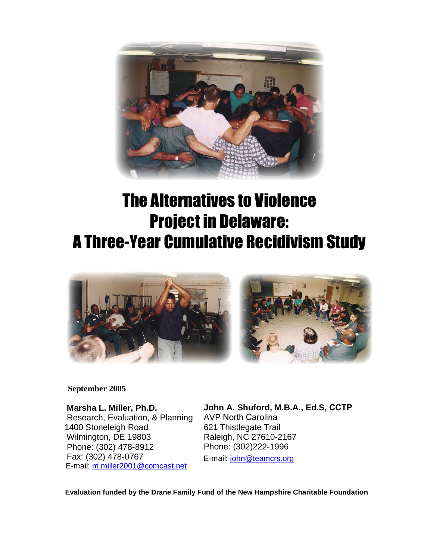

# The Alternatives to Violence Project in Delaware: A Three-Year Cumulative Recidivism Study



### **September 2005**

 **Marsha L. Miller, Ph.D.**  Research, Evaluation, & Planning 1400 Stoneleigh Road Wilmington, DE 19803 Phone: (302) 478-8912 Fax: (302) 478-0767 E-mail: [m.miller2001@comcast.net](mailto:m.miller2001@comcast.net)

**John A. Shuford, M.B.A., Ed.S, CCTP** AVP North Carolina 621 Thistlegate Trail Raleigh, NC 27610-2167 Phone: (302)222-1996 E-mail: jo[hn@teamcrs.org](mailto:john@teamcrs.org)

 **Evaluation funded by the Drane Family Fund of the New Hampshire Charitable Foundation**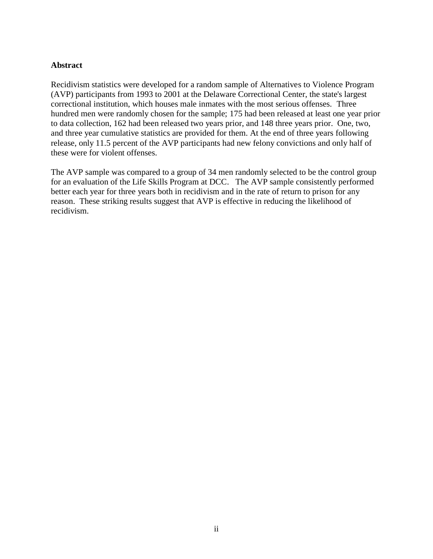### **Abstract**

Recidivism statistics were developed for a random sample of Alternatives to Violence Program (AVP) participants from 1993 to 2001 at the Delaware Correctional Center, the state's largest correctional institution, which houses male inmates with the most serious offenses. Three hundred men were randomly chosen for the sample; 175 had been released at least one year prior to data collection, 162 had been released two years prior, and 148 three years prior. One, two, and three year cumulative statistics are provided for them. At the end of three years following release, only 11.5 percent of the AVP participants had new felony convictions and only half of these were for violent offenses.

The AVP sample was compared to a group of 34 men randomly selected to be the control group for an evaluation of the Life Skills Program at DCC. The AVP sample consistently performed better each year for three years both in recidivism and in the rate of return to prison for any reason. These striking results suggest that AVP is effective in reducing the likelihood of recidivism.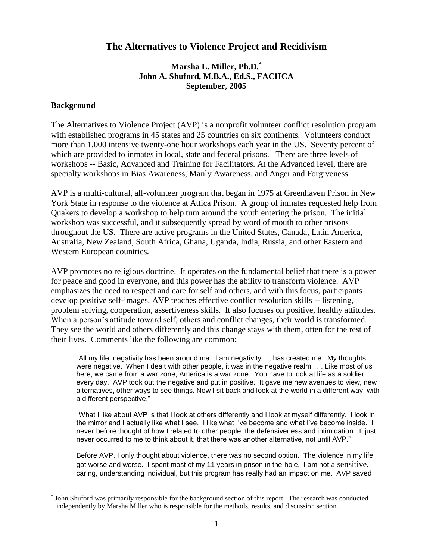### **The Alternatives to Violence Project and Recidivism**

### **Marsha L. Miller, Ph.D.\* John A. Shuford, M.B.A., Ed.S., FACHCA September, 2005**

#### **Background**

 $\overline{a}$ 

The Alternatives to Violence Project (AVP) is a nonprofit volunteer conflict resolution program with established programs in 45 states and 25 countries on six continents. Volunteers conduct more than 1,000 intensive twenty-one hour workshops each year in the US. Seventy percent of which are provided to inmates in local, state and federal prisons. There are three levels of workshops -- Basic, Advanced and Training for Facilitators. At the Advanced level, there are specialty workshops in Bias Awareness, Manly Awareness, and Anger and Forgiveness.

AVP is a multi-cultural, all-volunteer program that began in 1975 at Greenhaven Prison in New York State in response to the violence at Attica Prison. A group of inmates requested help from Quakers to develop a workshop to help turn around the youth entering the prison. The initial workshop was successful, and it subsequently spread by word of mouth to other prisons throughout the US. There are active programs in the United States, Canada, Latin America, Australia, New Zealand, South Africa, Ghana, Uganda, India, Russia, and other Eastern and Western European countries.

AVP promotes no religious doctrine. It operates on the fundamental belief that there is a power for peace and good in everyone, and this power has the ability to transform violence. AVP emphasizes the need to respect and care for self and others, and with this focus, participants develop positive self-images. AVP teaches effective conflict resolution skills -- listening, problem solving, cooperation, assertiveness skills. It also focuses on positive, healthy attitudes. When a person's attitude toward self, others and conflict changes, their world is transformed. They see the world and others differently and this change stays with them, often for the rest of their lives. Comments like the following are common:

"All my life, negativity has been around me. I am negativity. It has created me. My thoughts were negative. When I dealt with other people, it was in the negative realm . . . Like most of us here, we came from a war zone, America is a war zone. You have to look at life as a soldier, every day. AVP took out the negative and put in positive. It gave me new avenues to view, new alternatives, other ways to see things. Now I sit back and look at the world in a different way, with a different perspective."

"What I like about AVP is that I look at others differently and I look at myself differently. I look in the mirror and I actually like what I see. I like what I've become and what I've become inside. I never before thought of how I related to other people, the defensiveness and intimidation. It just never occurred to me to think about it, that there was another alternative, not until AVP."

Before AVP, I only thought about violence, there was no second option. The violence in my life got worse and worse. I spent most of my 11 years in prison in the hole. I am not a sensitive, caring, understanding individual, but this program has really had an impact on me. AVP saved

<sup>\*</sup> John Shuford was primarily responsible for the background section of this report. The research was conducted independently by Marsha Miller who is responsible for the methods, results, and discussion section.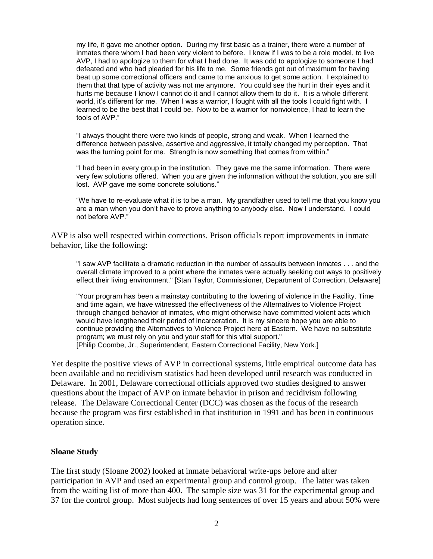my life, it gave me another option. During my first basic as a trainer, there were a number of inmates there whom I had been very violent to before. I knew if I was to be a role model, to live AVP, I had to apologize to them for what I had done. It was odd to apologize to someone I had defeated and who had pleaded for his life to me. Some friends got out of maximum for having beat up some correctional officers and came to me anxious to get some action. I explained to them that that type of activity was not me anymore. You could see the hurt in their eyes and it hurts me because I know I cannot do it and I cannot allow them to do it. It is a whole different world, it's different for me. When I was a warrior, I fought with all the tools I could fight with. I learned to be the best that I could be. Now to be a warrior for nonviolence, I had to learn the tools of AVP."

"I always thought there were two kinds of people, strong and weak. When I learned the difference between passive, assertive and aggressive, it totally changed my perception. That was the turning point for me. Strength is now something that comes from within."

"I had been in every group in the institution. They gave me the same information. There were very few solutions offered. When you are given the information without the solution, you are still lost. AVP gave me some concrete solutions."

"We have to re-evaluate what it is to be a man. My grandfather used to tell me that you know you are a man when you don't have to prove anything to anybody else. Now I understand. I could not before AVP."

AVP is also well respected within corrections. Prison officials report improvements in inmate behavior, like the following:

"I saw AVP facilitate a dramatic reduction in the number of assaults between inmates . . . and the overall climate improved to a point where the inmates were actually seeking out ways to positively effect their living environment." [Stan Taylor, Commissioner, Department of Correction, Delaware]

"Your program has been a mainstay contributing to the lowering of violence in the Facility. Time and time again, we have witnessed the effectiveness of the Alternatives to Violence Project through changed behavior of inmates, who might otherwise have committed violent acts which would have lengthened their period of incarceration. It is my sincere hope you are able to continue providing the Alternatives to Violence Project here at Eastern. We have no substitute program; we must rely on you and your staff for this vital support." [Philip Coombe, Jr., Superintendent, Eastern Correctional Facility, New York.]

Yet despite the positive views of AVP in correctional systems, little empirical outcome data has been available and no recidivism statistics had been developed until research was conducted in Delaware. In 2001, Delaware correctional officials approved two studies designed to answer questions about the impact of AVP on inmate behavior in prison and recidivism following release. The Delaware Correctional Center (DCC) was chosen as the focus of the research because the program was first established in that institution in 1991 and has been in continuous operation since.

#### **Sloane Study**

The first study (Sloane 2002) looked at inmate behavioral write-ups before and after participation in AVP and used an experimental group and control group. The latter was taken from the waiting list of more than 400. The sample size was 31 for the experimental group and 37 for the control group. Most subjects had long sentences of over 15 years and about 50% were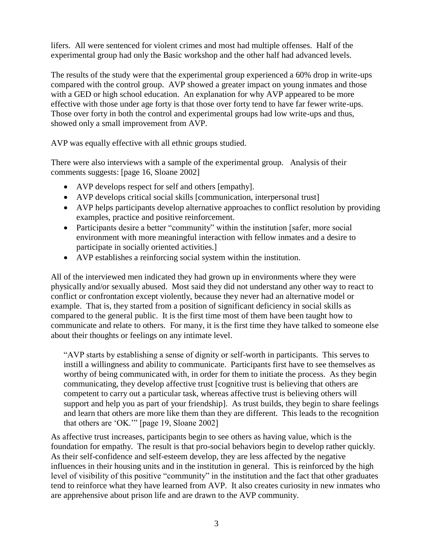lifers. All were sentenced for violent crimes and most had multiple offenses. Half of the experimental group had only the Basic workshop and the other half had advanced levels.

The results of the study were that the experimental group experienced a 60% drop in write-ups compared with the control group. AVP showed a greater impact on young inmates and those with a GED or high school education. An explanation for why AVP appeared to be more effective with those under age forty is that those over forty tend to have far fewer write-ups. Those over forty in both the control and experimental groups had low write-ups and thus, showed only a small improvement from AVP.

AVP was equally effective with all ethnic groups studied.

There were also interviews with a sample of the experimental group. Analysis of their comments suggests: [page 16, Sloane 2002]

- AVP develops respect for self and others [empathy].
- AVP develops critical social skills [communication, interpersonal trust]
- AVP helps participants develop alternative approaches to conflict resolution by providing examples, practice and positive reinforcement.
- Participants desire a better "community" within the institution [safer, more social environment with more meaningful interaction with fellow inmates and a desire to participate in socially oriented activities.]
- AVP establishes a reinforcing social system within the institution.

All of the interviewed men indicated they had grown up in environments where they were physically and/or sexually abused. Most said they did not understand any other way to react to conflict or confrontation except violently, because they never had an alternative model or example. That is, they started from a position of significant deficiency in social skills as compared to the general public. It is the first time most of them have been taught how to communicate and relate to others. For many, it is the first time they have talked to someone else about their thoughts or feelings on any intimate level.

"AVP starts by establishing a sense of dignity or self-worth in participants. This serves to instill a willingness and ability to communicate. Participants first have to see themselves as worthy of being communicated with, in order for them to initiate the process. As they begin communicating, they develop affective trust [cognitive trust is believing that others are competent to carry out a particular task, whereas affective trust is believing others will support and help you as part of your friendship]. As trust builds, they begin to share feelings and learn that others are more like them than they are different. This leads to the recognition that others are 'OK.'" [page 19, Sloane 2002]

As affective trust increases, participants begin to see others as having value, which is the foundation for empathy. The result is that pro-social behaviors begin to develop rather quickly. As their self-confidence and self-esteem develop, they are less affected by the negative influences in their housing units and in the institution in general. This is reinforced by the high level of visibility of this positive "community" in the institution and the fact that other graduates tend to reinforce what they have learned from AVP. It also creates curiosity in new inmates who are apprehensive about prison life and are drawn to the AVP community.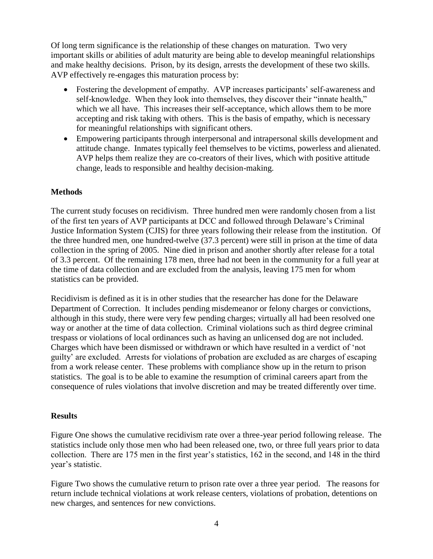Of long term significance is the relationship of these changes on maturation. Two very important skills or abilities of adult maturity are being able to develop meaningful relationships and make healthy decisions. Prison, by its design, arrests the development of these two skills. AVP effectively re-engages this maturation process by:

- Fostering the development of empathy. AVP increases participants' self-awareness and self-knowledge. When they look into themselves, they discover their "innate health," which we all have. This increases their self-acceptance, which allows them to be more accepting and risk taking with others. This is the basis of empathy, which is necessary for meaningful relationships with significant others.
- Empowering participants through interpersonal and intrapersonal skills development and attitude change. Inmates typically feel themselves to be victims, powerless and alienated. AVP helps them realize they are co-creators of their lives, which with positive attitude change, leads to responsible and healthy decision-making.

### **Methods**

The current study focuses on recidivism. Three hundred men were randomly chosen from a list of the first ten years of AVP participants at DCC and followed through Delaware's Criminal Justice Information System (CJIS) for three years following their release from the institution. Of the three hundred men, one hundred-twelve (37.3 percent) were still in prison at the time of data collection in the spring of 2005. Nine died in prison and another shortly after release for a total of 3.3 percent. Of the remaining 178 men, three had not been in the community for a full year at the time of data collection and are excluded from the analysis, leaving 175 men for whom statistics can be provided.

Recidivism is defined as it is in other studies that the researcher has done for the Delaware Department of Correction. It includes pending misdemeanor or felony charges or convictions, although in this study, there were very few pending charges; virtually all had been resolved one way or another at the time of data collection. Criminal violations such as third degree criminal trespass or violations of local ordinances such as having an unlicensed dog are not included. Charges which have been dismissed or withdrawn or which have resulted in a verdict of 'not guilty' are excluded. Arrests for violations of probation are excluded as are charges of escaping from a work release center. These problems with compliance show up in the return to prison statistics. The goal is to be able to examine the resumption of criminal careers apart from the consequence of rules violations that involve discretion and may be treated differently over time.

### **Results**

Figure One shows the cumulative recidivism rate over a three-year period following release. The statistics include only those men who had been released one, two, or three full years prior to data collection. There are 175 men in the first year's statistics, 162 in the second, and 148 in the third year's statistic.

Figure Two shows the cumulative return to prison rate over a three year period. The reasons for return include technical violations at work release centers, violations of probation, detentions on new charges, and sentences for new convictions.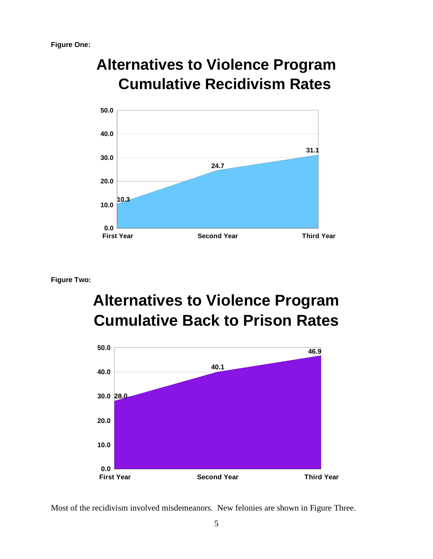## **Alternatives to Violence Program Cumulative Recidivism Rates**



**Figure Two:**

## **Alternatives to Violence Program Cumulative Back to Prison Rates**



Most of the recidivism involved misdemeanors. New felonies are shown in Figure Three.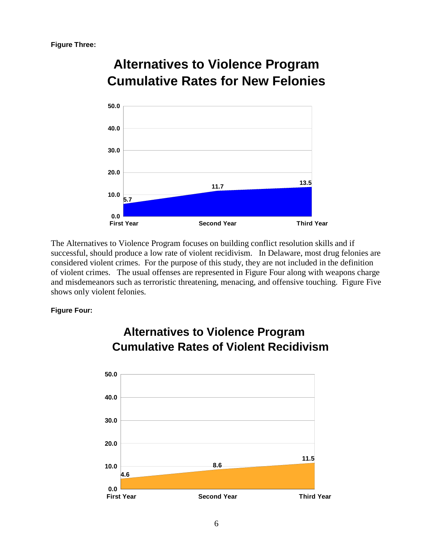

### **Alternatives to Violence Program Cumulative Rates for New Felonies**

The Alternatives to Violence Program focuses on building conflict resolution skills and if successful, should produce a low rate of violent recidivism. In Delaware, most drug felonies are considered violent crimes. For the purpose of this study, they are not included in the definition of violent crimes. The usual offenses are represented in Figure Four along with weapons charge and misdemeanors such as terroristic threatening, menacing, and offensive touching. Figure Five shows only violent felonies.

### **Figure Four:**



### **Alternatives to Violence Program Cumulative Rates of Violent Recidivism**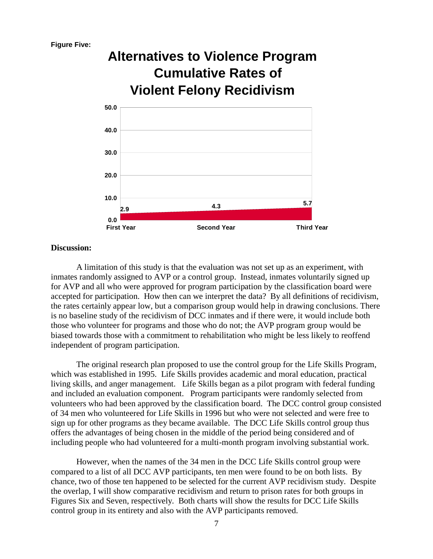

#### **Discussion:**

A limitation of this study is that the evaluation was not set up as an experiment, with inmates randomly assigned to AVP or a control group. Instead, inmates voluntarily signed up for AVP and all who were approved for program participation by the classification board were accepted for participation. How then can we interpret the data? By all definitions of recidivism, the rates certainly appear low, but a comparison group would help in drawing conclusions. There is no baseline study of the recidivism of DCC inmates and if there were, it would include both those who volunteer for programs and those who do not; the AVP program group would be biased towards those with a commitment to rehabilitation who might be less likely to reoffend independent of program participation.

The original research plan proposed to use the control group for the Life Skills Program, which was established in 1995. Life Skills provides academic and moral education, practical living skills, and anger management. Life Skills began as a pilot program with federal funding and included an evaluation component. Program participants were randomly selected from volunteers who had been approved by the classification board. The DCC control group consisted of 34 men who volunteered for Life Skills in 1996 but who were not selected and were free to sign up for other programs as they became available. The DCC Life Skills control group thus offers the advantages of being chosen in the middle of the period being considered and of including people who had volunteered for a multi-month program involving substantial work.

However, when the names of the 34 men in the DCC Life Skills control group were compared to a list of all DCC AVP participants, ten men were found to be on both lists. By chance, two of those ten happened to be selected for the current AVP recidivism study. Despite the overlap, I will show comparative recidivism and return to prison rates for both groups in Figures Six and Seven, respectively. Both charts will show the results for DCC Life Skills control group in its entirety and also with the AVP participants removed.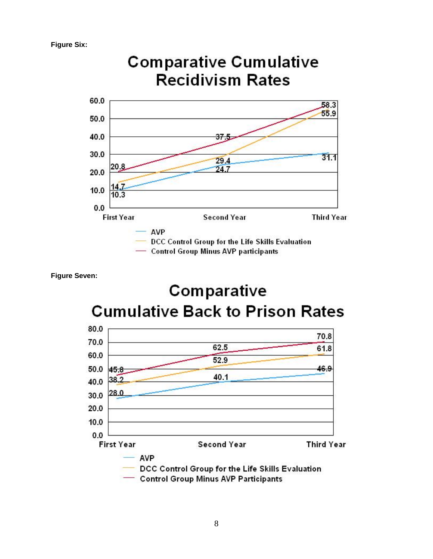**Figure Six:**



**Figure Seven:**

### Comparative **Cumulative Back to Prison Rates**